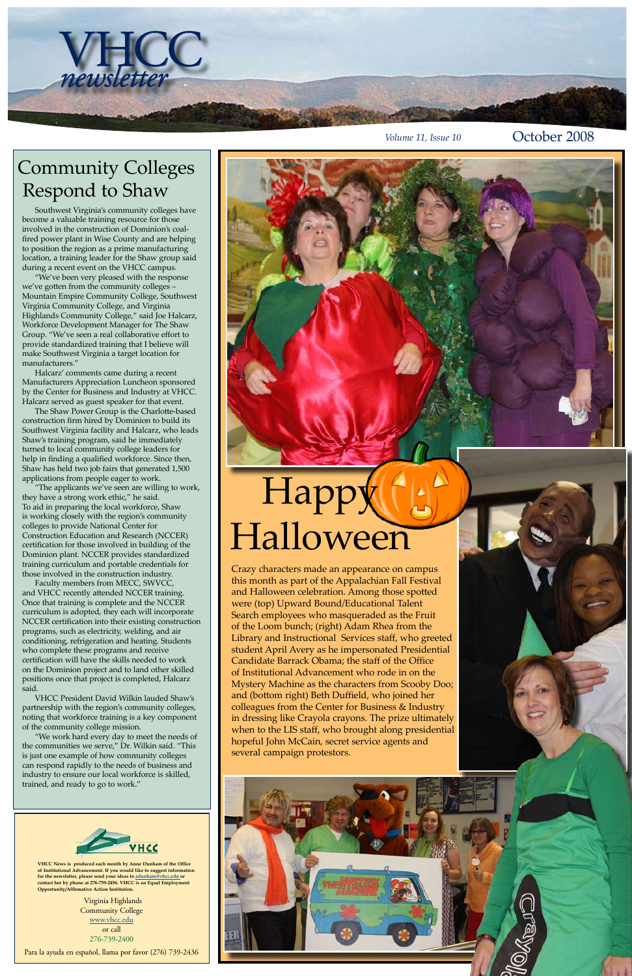*Volume 11, Issue 10* **October 2008** 

Virginia Highlands Community College www.vhcc.edu or call 276-739-2400

Para la ayuda en español, llama por favor (276) 739-2436

**VHCC News is produced each month by Anne Dunham of the Office of Institutional Advancement. If you would like to suggest information for the newsletter, please send your ideas to adunham@vhcc.edu or contact her by phone at 276-739-2456. VHCC is an Equal Employment Opportunity/Affirmative Action Institution.**





Southwest Virginia's community colleges have become a valuable training resource for those involved in the construction of Dominion's coalfired power plant in Wise County and are helping to position the region as a prime manufacturing location, a training leader for the Shaw group said during a recent event on the VHCC campus.

"We've been very pleased with the response we've gotten from the community colleges – Mountain Empire Community College, Southwest Virginia Community College, and Virginia Highlands Community College," said Joe Halcarz, Workforce Development Manager for The Shaw Group. "We've seen a real collaborative effort to provide standardized training that I believe will make Southwest Virginia a target location for manufacturers."

Halcarz' comments came during a recent Manufacturers Appreciation Luncheon sponsored by the Center for Business and Industry at VHCC. Halcarz served as guest speaker for that event.

The Shaw Power Group is the Charlotte-based construction firm hired by Dominion to build its Southwest Virginia facility and Halcarz, who leads Shaw's training program, said he immediately turned to local community college leaders for help in finding a qualified workforce. Since then, Shaw has held two job fairs that generated 1,500 applications from people eager to work.

# Happy Halloween

"The applicants we've seen are willing to work, they have a strong work ethic," he said. To aid in preparing the local workforce, Shaw is working closely with the region's community colleges to provide National Center for Construction Education and Research (NCCER) certification for those involved in building of the Dominion plant. NCCER provides standardized training curriculum and portable credentials for those involved in the construction industry.

Faculty members from MECC, SWVCC, and VHCC recently attended NCCER training. Once that training is complete and the NCCER curriculum is adopted, they each will incorporate NCCER certification into their existing construction programs, such as electricity, welding, and air conditioning, refrigeration and heating. Students who complete these programs and receive certification will have the skills needed to work on the Dominion project and to land other skilled positions once that project is completed, Halcarz said.

VHCC President David Wilkin lauded Shaw's partnership with the region's community colleges, noting that workforce training is a key component of the community college mission. "We work hard every day to meet the needs of the communities we serve," Dr. Wilkin said. "This is just one example of how community colleges can respond rapidly to the needs of business and industry to ensure our local workforce is skilled, trained, and ready to go to work."

## Community Colleges Respond to Shaw

Crazy characters made an appearance on campus this month as part of the Appalachian Fall Festival and Halloween celebration. Among those spotted were (top) Upward Bound/Educational Talent Search employees who masqueraded as the Fruit of the Loom bunch; (right) Adam Rhea from the Library and Instructional Services staff, who greeted student April Avery as he impersonated Presidential Candidate Barrack Obama; the staff of the Office of Institutional Advancement who rode in on the Mystery Machine as the characters from Scooby Doo; and (bottom right) Beth Duffield, who joined her colleagues from the Center for Business & Industry in dressing like Crayola crayons. The prize ultimately when to the LIS staff, who brought along presidential hopeful John McCain, secret service agents and several campaign protestors.